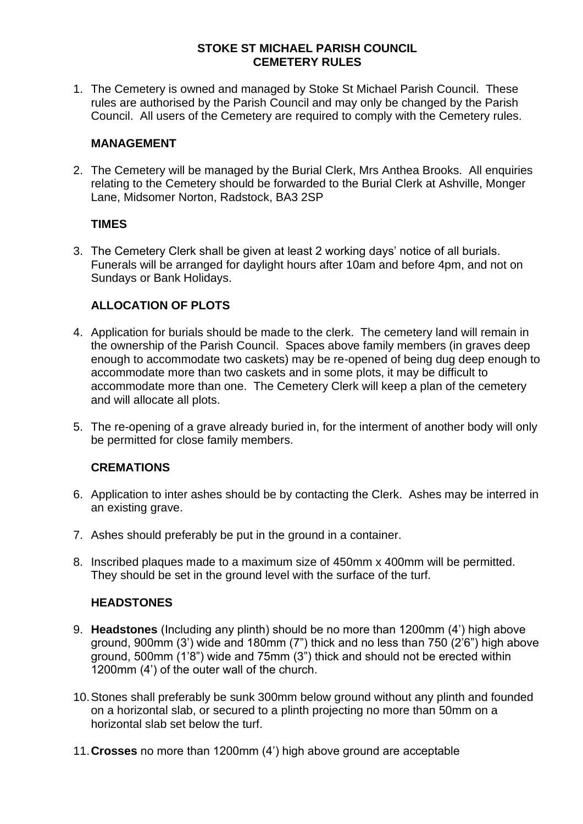### **STOKE ST MICHAEL PARISH COUNCIL CEMETERY RULES**

1. The Cemetery is owned and managed by Stoke St Michael Parish Council. These rules are authorised by the Parish Council and may only be changed by the Parish Council. All users of the Cemetery are required to comply with the Cemetery rules.

## **MANAGEMENT**

2. The Cemetery will be managed by the Burial Clerk, Mrs Anthea Brooks. All enquiries relating to the Cemetery should be forwarded to the Burial Clerk at Ashville, Monger Lane, Midsomer Norton, Radstock, BA3 2SP

## **TIMES**

3. The Cemetery Clerk shall be given at least 2 working days' notice of all burials. Funerals will be arranged for daylight hours after 10am and before 4pm, and not on Sundays or Bank Holidays.

# **ALLOCATION OF PLOTS**

- 4. Application for burials should be made to the clerk. The cemetery land will remain in the ownership of the Parish Council. Spaces above family members (in graves deep enough to accommodate two caskets) may be re-opened of being dug deep enough to accommodate more than two caskets and in some plots, it may be difficult to accommodate more than one. The Cemetery Clerk will keep a plan of the cemetery and will allocate all plots.
- 5. The re-opening of a grave already buried in, for the interment of another body will only be permitted for close family members.

# **CREMATIONS**

- 6. Application to inter ashes should be by contacting the Clerk. Ashes may be interred in an existing grave.
- 7. Ashes should preferably be put in the ground in a container.
- 8. Inscribed plaques made to a maximum size of 450mm x 400mm will be permitted. They should be set in the ground level with the surface of the turf.

# **HEADSTONES**

- 9. **Headstones** (Including any plinth) should be no more than 1200mm (4') high above ground, 900mm (3') wide and 180mm (7") thick and no less than 750 (2'6") high above ground, 500mm (1'8") wide and 75mm (3") thick and should not be erected within 1200mm (4') of the outer wall of the church.
- 10.Stones shall preferably be sunk 300mm below ground without any plinth and founded on a horizontal slab, or secured to a plinth projecting no more than 50mm on a horizontal slab set below the turf.
- 11.**Crosses** no more than 1200mm (4') high above ground are acceptable